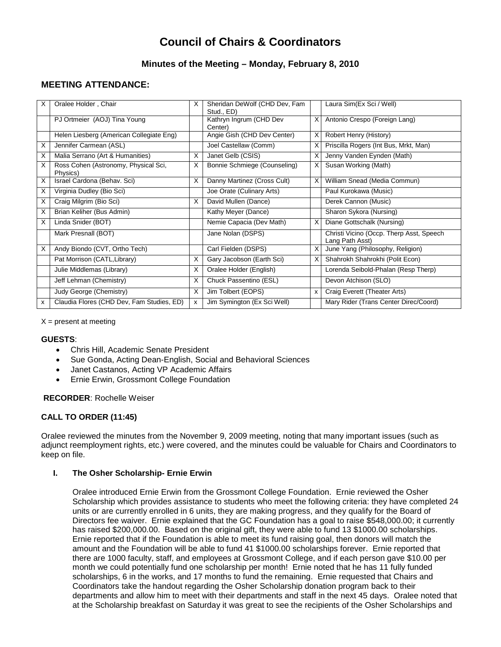# **Council of Chairs & Coordinators**

# **Minutes of the Meeting – Monday, February 8, 2010**

# **MEETING ATTENDANCE:**

| X | Oralee Holder, Chair                             | X | Sheridan DeWolf (CHD Dev, Fam<br>Stud., ED) |   | Laura Sim(Ex Sci / Well)                                    |
|---|--------------------------------------------------|---|---------------------------------------------|---|-------------------------------------------------------------|
|   | PJ Ortmeier (AOJ) Tina Young                     |   | Kathryn Ingrum (CHD Dev<br>Center)          | X | Antonio Crespo (Foreign Lang)                               |
|   | Helen Liesberg (American Collegiate Eng)         |   | Angie Gish (CHD Dev Center)                 | X | Robert Henry (History)                                      |
| X | Jennifer Carmean (ASL)                           |   | Joel Castellaw (Comm)                       | X | Priscilla Rogers (Int Bus, Mrkt, Man)                       |
| X | Malia Serrano (Art & Humanities)                 | X | Janet Gelb (CSIS)                           | X | Jenny Vanden Eynden (Math)                                  |
| X | Ross Cohen (Astronomy, Physical Sci,<br>Physics) | X | Bonnie Schmiege (Counseling)                | X | Susan Working (Math)                                        |
| X | Israel Cardona (Behav. Sci)                      | X | Danny Martinez (Cross Cult)                 |   | William Snead (Media Commun)                                |
| X | Virginia Dudley (Bio Sci)                        |   | Joe Orate (Culinary Arts)                   |   | Paul Kurokawa (Music)                                       |
| X | Craig Milgrim (Bio Sci)                          | X | David Mullen (Dance)                        |   | Derek Cannon (Music)                                        |
| X | Brian Keliher (Bus Admin)                        |   | Kathy Meyer (Dance)                         |   | Sharon Sykora (Nursing)                                     |
| X | Linda Snider (BOT)                               |   | Nemie Capacia (Dev Math)                    | X | Diane Gottschalk (Nursing)                                  |
|   | Mark Presnall (BOT)                              |   | Jane Nolan (DSPS)                           |   | Christi Vicino (Occp. Therp Asst, Speech<br>Lang Path Asst) |
| X | Andy Biondo (CVT, Ortho Tech)                    |   | Carl Fielden (DSPS)                         | X | June Yang (Philosophy, Religion)                            |
|   | Pat Morrison (CATL, Library)                     | X | Gary Jacobson (Earth Sci)                   | X | Shahrokh Shahrokhi (Polit Econ)                             |
|   | Julie Middlemas (Library)                        | X | Oralee Holder (English)                     |   | Lorenda Seibold-Phalan (Resp Therp)                         |
|   | Jeff Lehman (Chemistry)                          | X | Chuck Passentino (ESL)                      |   | Devon Atchison (SLO)                                        |
|   | Judy George (Chemistry)                          | X | Jim Tolbert (EOPS)                          | X | Craig Everett (Theater Arts)                                |
| x | Claudia Flores (CHD Dev, Fam Studies, ED)        | X | Jim Symington (Ex Sci Well)                 |   | Mary Rider (Trans Center Direc/Coord)                       |

 $X =$  present at meeting

#### **GUESTS**:

- Chris Hill, Academic Senate President
- Sue Gonda, Acting Dean-English, Social and Behavioral Sciences
- Janet Castanos, Acting VP Academic Affairs
- Ernie Erwin, Grossmont College Foundation

#### **RECORDER**: Rochelle Weiser

## **CALL TO ORDER (11:45)**

Oralee reviewed the minutes from the November 9, 2009 meeting, noting that many important issues (such as adjunct reemployment rights, etc.) were covered, and the minutes could be valuable for Chairs and Coordinators to keep on file.

#### **I. The Osher Scholarship- Ernie Erwin**

Oralee introduced Ernie Erwin from the Grossmont College Foundation. Ernie reviewed the Osher Scholarship which provides assistance to students who meet the following criteria: they have completed 24 units or are currently enrolled in 6 units, they are making progress, and they qualify for the Board of Directors fee waiver. Ernie explained that the GC Foundation has a goal to raise \$548,000.00; it currently has raised \$200,000.00. Based on the original gift, they were able to fund 13 \$1000.00 scholarships. Ernie reported that if the Foundation is able to meet its fund raising goal, then donors will match the amount and the Foundation will be able to fund 41 \$1000.00 scholarships forever. Ernie reported that there are 1000 faculty, staff, and employees at Grossmont College, and if each person gave \$10.00 per month we could potentially fund one scholarship per month! Ernie noted that he has 11 fully funded scholarships, 6 in the works, and 17 months to fund the remaining. Ernie requested that Chairs and Coordinators take the handout regarding the Osher Scholarship donation program back to their departments and allow him to meet with their departments and staff in the next 45 days. Oralee noted that at the Scholarship breakfast on Saturday it was great to see the recipients of the Osher Scholarships and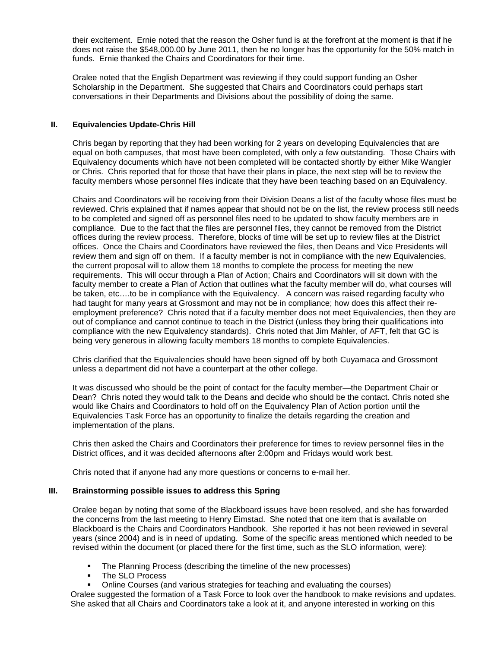their excitement. Ernie noted that the reason the Osher fund is at the forefront at the moment is that if he does not raise the \$548,000.00 by June 2011, then he no longer has the opportunity for the 50% match in funds. Ernie thanked the Chairs and Coordinators for their time.

Oralee noted that the English Department was reviewing if they could support funding an Osher Scholarship in the Department. She suggested that Chairs and Coordinators could perhaps start conversations in their Departments and Divisions about the possibility of doing the same.

## **II. Equivalencies Update-Chris Hill**

Chris began by reporting that they had been working for 2 years on developing Equivalencies that are equal on both campuses, that most have been completed, with only a few outstanding. Those Chairs with Equivalency documents which have not been completed will be contacted shortly by either Mike Wangler or Chris. Chris reported that for those that have their plans in place, the next step will be to review the faculty members whose personnel files indicate that they have been teaching based on an Equivalency.

Chairs and Coordinators will be receiving from their Division Deans a list of the faculty whose files must be reviewed. Chris explained that if names appear that should not be on the list, the review process still needs to be completed and signed off as personnel files need to be updated to show faculty members are in compliance. Due to the fact that the files are personnel files, they cannot be removed from the District offices during the review process. Therefore, blocks of time will be set up to review files at the District offices. Once the Chairs and Coordinators have reviewed the files, then Deans and Vice Presidents will review them and sign off on them. If a faculty member is not in compliance with the new Equivalencies, the current proposal will to allow them 18 months to complete the process for meeting the new requirements. This will occur through a Plan of Action; Chairs and Coordinators will sit down with the faculty member to create a Plan of Action that outlines what the faculty member will do, what courses will be taken, etc….to be in compliance with the Equivalency. A concern was raised regarding faculty who had taught for many years at Grossmont and may not be in compliance; how does this affect their reemployment preference? Chris noted that if a faculty member does not meet Equivalencies, then they are out of compliance and cannot continue to teach in the District (unless they bring their qualifications into compliance with the new Equivalency standards). Chris noted that Jim Mahler, of AFT, felt that GC is being very generous in allowing faculty members 18 months to complete Equivalencies.

Chris clarified that the Equivalencies should have been signed off by both Cuyamaca and Grossmont unless a department did not have a counterpart at the other college.

It was discussed who should be the point of contact for the faculty member—the Department Chair or Dean? Chris noted they would talk to the Deans and decide who should be the contact. Chris noted she would like Chairs and Coordinators to hold off on the Equivalency Plan of Action portion until the Equivalencies Task Force has an opportunity to finalize the details regarding the creation and implementation of the plans.

Chris then asked the Chairs and Coordinators their preference for times to review personnel files in the District offices, and it was decided afternoons after 2:00pm and Fridays would work best.

Chris noted that if anyone had any more questions or concerns to e-mail her.

#### **III. Brainstorming possible issues to address this Spring**

Oralee began by noting that some of the Blackboard issues have been resolved, and she has forwarded the concerns from the last meeting to Henry Eimstad. She noted that one item that is available on Blackboard is the Chairs and Coordinators Handbook. She reported it has not been reviewed in several years (since 2004) and is in need of updating. Some of the specific areas mentioned which needed to be revised within the document (or placed there for the first time, such as the SLO information, were):

- The Planning Process (describing the timeline of the new processes)
- **The SLO Process**
- Online Courses (and various strategies for teaching and evaluating the courses)

Oralee suggested the formation of a Task Force to look over the handbook to make revisions and updates. She asked that all Chairs and Coordinators take a look at it, and anyone interested in working on this